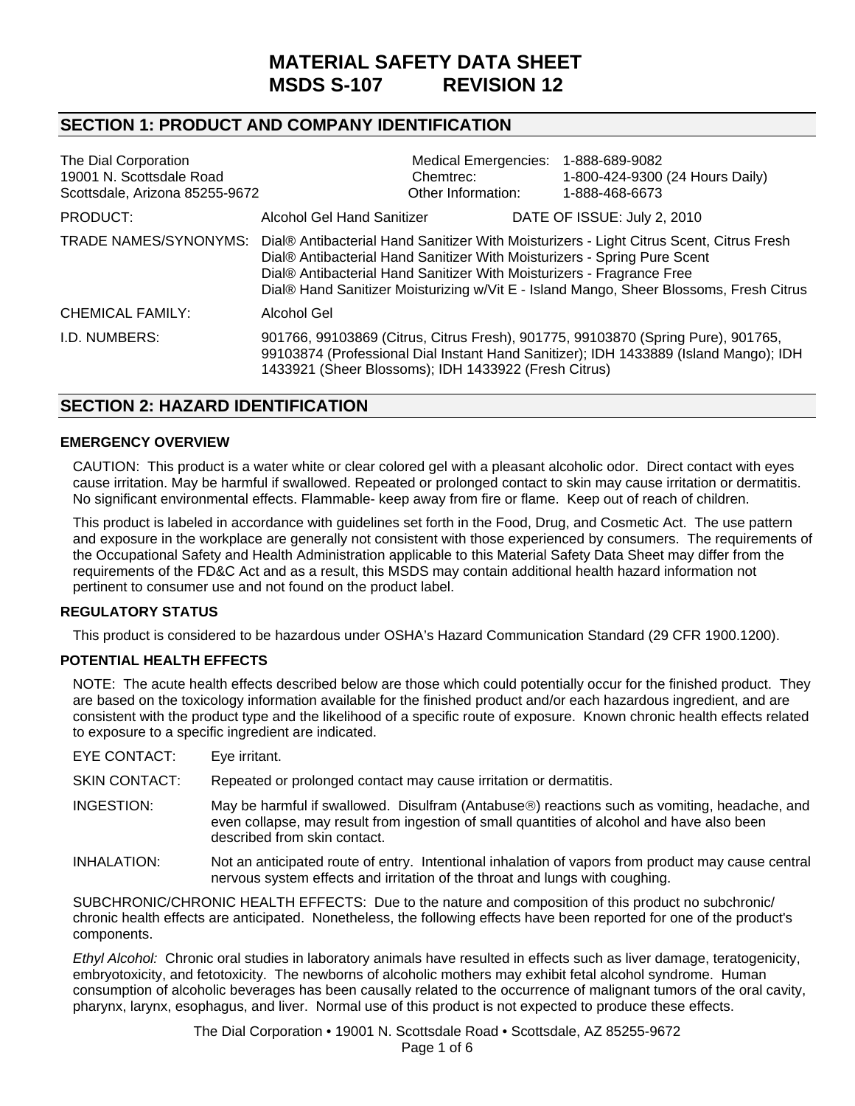# **MATERIAL SAFETY DATA SHEET MSDS S-107 REVISION 12**

# **SECTION 1: PRODUCT AND COMPANY IDENTIFICATION**

| The Dial Corporation<br>19001 N. Scottsdale Road<br>Scottsdale, Arizona 85255-9672 |                                                                                                                                                                                                                                                                                                                                                              | Chemtrec:<br>Other Information: |  | Medical Emergencies: 1-888-689-9082<br>1-800-424-9300 (24 Hours Daily)<br>1-888-468-6673                                                                                 |
|------------------------------------------------------------------------------------|--------------------------------------------------------------------------------------------------------------------------------------------------------------------------------------------------------------------------------------------------------------------------------------------------------------------------------------------------------------|---------------------------------|--|--------------------------------------------------------------------------------------------------------------------------------------------------------------------------|
| PRODUCT:                                                                           | Alcohol Gel Hand Sanitizer                                                                                                                                                                                                                                                                                                                                   |                                 |  | DATE OF ISSUE: July 2, 2010                                                                                                                                              |
|                                                                                    | TRADE NAMES/SYNONYMS: Dial® Antibacterial Hand Sanitizer With Moisturizers - Light Citrus Scent, Citrus Fresh<br>Dial® Antibacterial Hand Sanitizer With Moisturizers - Spring Pure Scent<br>Dial® Antibacterial Hand Sanitizer With Moisturizers - Fragrance Free<br>Dial® Hand Sanitizer Moisturizing w/Vit E - Island Mango, Sheer Blossoms, Fresh Citrus |                                 |  |                                                                                                                                                                          |
| <b>CHEMICAL FAMILY:</b>                                                            | Alcohol Gel                                                                                                                                                                                                                                                                                                                                                  |                                 |  |                                                                                                                                                                          |
| I.D. NUMBERS:                                                                      | 1433921 (Sheer Blossoms); IDH 1433922 (Fresh Citrus)                                                                                                                                                                                                                                                                                                         |                                 |  | 901766, 99103869 (Citrus, Citrus Fresh), 901775, 99103870 (Spring Pure), 901765,<br>99103874 (Professional Dial Instant Hand Sanitizer); IDH 1433889 (Island Mango); IDH |

# **SECTION 2: HAZARD IDENTIFICATION**

#### **EMERGENCY OVERVIEW**

CAUTION: This product is a water white or clear colored gel with a pleasant alcoholic odor. Direct contact with eyes cause irritation. May be harmful if swallowed. Repeated or prolonged contact to skin may cause irritation or dermatitis. No significant environmental effects. Flammable- keep away from fire or flame. Keep out of reach of children.

This product is labeled in accordance with guidelines set forth in the Food, Drug, and Cosmetic Act. The use pattern and exposure in the workplace are generally not consistent with those experienced by consumers. The requirements of the Occupational Safety and Health Administration applicable to this Material Safety Data Sheet may differ from the requirements of the FD&C Act and as a result, this MSDS may contain additional health hazard information not pertinent to consumer use and not found on the product label.

### **REGULATORY STATUS**

This product is considered to be hazardous under OSHA's Hazard Communication Standard (29 CFR 1900.1200).

#### **POTENTIAL HEALTH EFFECTS**

NOTE: The acute health effects described below are those which could potentially occur for the finished product. They are based on the toxicology information available for the finished product and/or each hazardous ingredient, and are consistent with the product type and the likelihood of a specific route of exposure. Known chronic health effects related to exposure to a specific ingredient are indicated.

| EYE CONTACT:         | Eye irritant.                                                                                                                                                                                                              |
|----------------------|----------------------------------------------------------------------------------------------------------------------------------------------------------------------------------------------------------------------------|
| <b>SKIN CONTACT:</b> | Repeated or prolonged contact may cause irritation or dermatitis.                                                                                                                                                          |
| INGESTION:           | May be harmful if swallowed. Disulfram (Antabuse®) reactions such as vomiting, headache, and<br>even collapse, may result from ingestion of small quantities of alcohol and have also been<br>described from skin contact. |
| INHALATION:          | Not an anticipated route of entry. Intentional inhalation of vapors from product may cause central<br>nervous system effects and irritation of the throat and lungs with coughing.                                         |

SUBCHRONIC/CHRONIC HEALTH EFFECTS:Due to the nature and composition of this product no subchronic/ chronic health effects are anticipated. Nonetheless, the following effects have been reported for one of the product's components.

*Ethyl Alcohol:* Chronic oral studies in laboratory animals have resulted in effects such as liver damage, teratogenicity, embryotoxicity, and fetotoxicity. The newborns of alcoholic mothers may exhibit fetal alcohol syndrome. Human consumption of alcoholic beverages has been causally related to the occurrence of malignant tumors of the oral cavity, pharynx, larynx, esophagus, and liver. Normal use of this product is not expected to produce these effects.

> The Dial Corporation • 19001 N. Scottsdale Road • Scottsdale, AZ 85255-9672 Page 1 of 6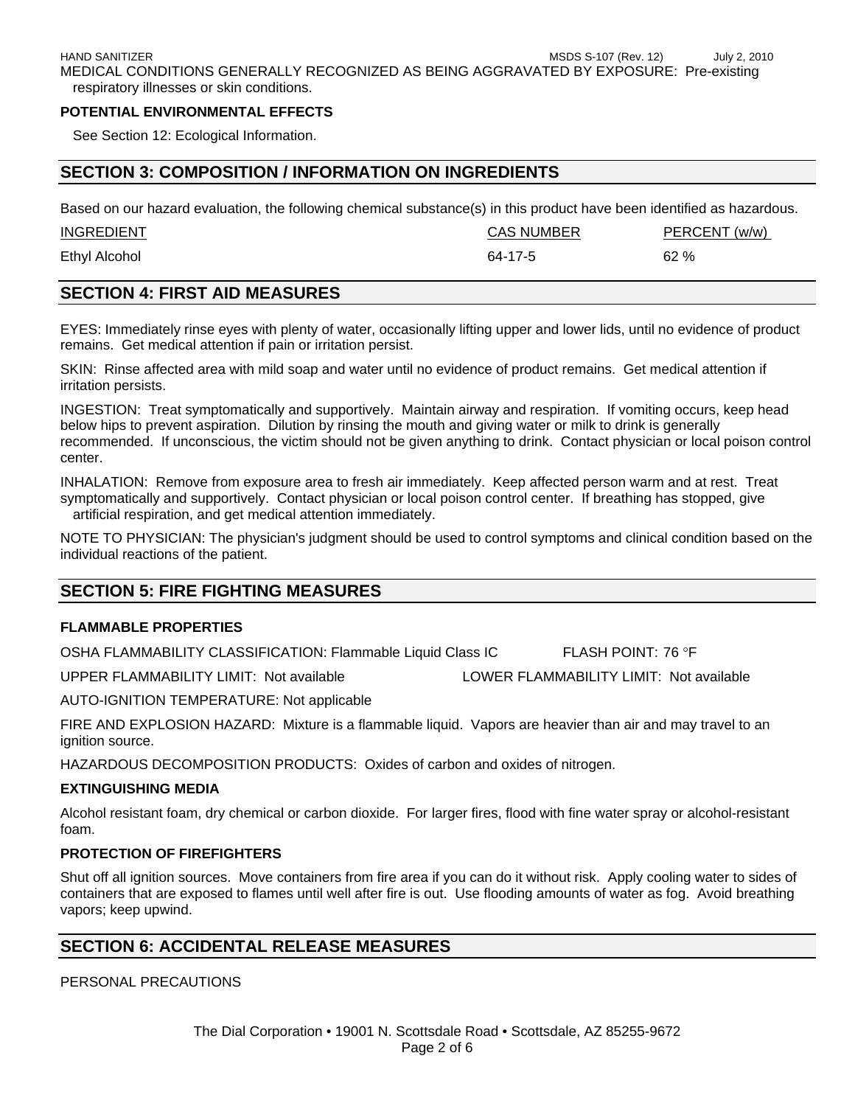#### **POTENTIAL ENVIRONMENTAL EFFECTS**

See Section 12: Ecological Information.

# **SECTION 3: COMPOSITION / INFORMATION ON INGREDIENTS**

Based on our hazard evaluation, the following chemical substance(s) in this product have been identified as hazardous.

| <b>INGREDIENT</b> | <b>CAS NUMBER</b> | PERCENT (w/w) |
|-------------------|-------------------|---------------|
| Ethyl Alcohol     | 64-17-5           | 62%           |

# **SECTION 4: FIRST AID MEASURES**

EYES: Immediately rinse eyes with plenty of water, occasionally lifting upper and lower lids, until no evidence of product remains. Get medical attention if pain or irritation persist.

SKIN:Rinse affected area with mild soap and water until no evidence of product remains. Get medical attention if irritation persists.

INGESTION:Treat symptomatically and supportively. Maintain airway and respiration. If vomiting occurs, keep head below hips to prevent aspiration. Dilution by rinsing the mouth and giving water or milk to drink is generally recommended. If unconscious, the victim should not be given anything to drink. Contact physician or local poison control center.

INHALATION: Remove from exposure area to fresh air immediately. Keep affected person warm and at rest. Treat symptomatically and supportively. Contact physician or local poison control center. If breathing has stopped, give artificial respiration, and get medical attention immediately.

NOTE TO PHYSICIAN: The physician's judgment should be used to control symptoms and clinical condition based on the individual reactions of the patient.

# **SECTION 5: FIRE FIGHTING MEASURES**

### **FLAMMABLE PROPERTIES**

OSHA FLAMMABILITY CLASSIFICATION: Flammable Liquid Class IC FLASH POINT: 76 °F

UPPER FLAMMABILITY LIMIT: Not available LOWER FLAMMABILITY LIMIT: Not available

AUTO-IGNITION TEMPERATURE: Not applicable

FIRE AND EXPLOSION HAZARD: Mixture is a flammable liquid. Vapors are heavier than air and may travel to an ignition source.

HAZARDOUS DECOMPOSITION PRODUCTS: Oxides of carbon and oxides of nitrogen.

#### **EXTINGUISHING MEDIA**

Alcohol resistant foam, dry chemical or carbon dioxide. For larger fires, flood with fine water spray or alcohol-resistant foam.

### **PROTECTION OF FIREFIGHTERS**

Shut off all ignition sources. Move containers from fire area if you can do it without risk. Apply cooling water to sides of containers that are exposed to flames until well after fire is out. Use flooding amounts of water as fog. Avoid breathing vapors; keep upwind.

# **SECTION 6: ACCIDENTAL RELEASE MEASURES**

PERSONAL PRECAUTIONS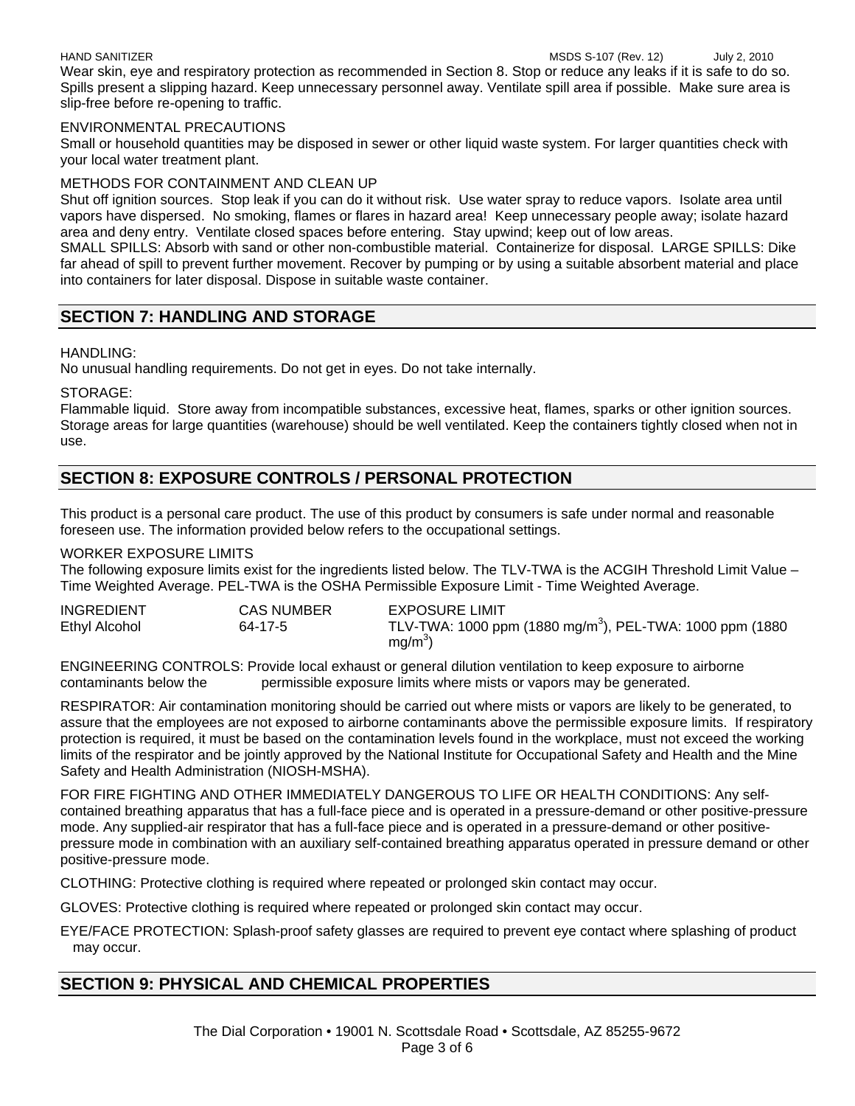#### HAND SANITIZERMSDS S-107 (Rev. 12) July 2, 2010

Wear skin, eye and respiratory protection as recommended in Section 8. Stop or reduce any leaks if it is safe to do so. Spills present a slipping hazard. Keep unnecessary personnel away. Ventilate spill area if possible. Make sure area is slip-free before re-opening to traffic.

#### ENVIRONMENTAL PRECAUTIONS

Small or household quantities may be disposed in sewer or other liquid waste system. For larger quantities check with your local water treatment plant.

#### METHODS FOR CONTAINMENT AND CLEAN UP

Shut off ignition sources. Stop leak if you can do it without risk. Use water spray to reduce vapors. Isolate area until vapors have dispersed. No smoking, flames or flares in hazard area! Keep unnecessary people away; isolate hazard area and deny entry. Ventilate closed spaces before entering. Stay upwind; keep out of low areas.

SMALL SPILLS: Absorb with sand or other non-combustible material. Containerize for disposal. LARGE SPILLS: Dike far ahead of spill to prevent further movement. Recover by pumping or by using a suitable absorbent material and place into containers for later disposal. Dispose in suitable waste container.

# **SECTION 7: HANDLING AND STORAGE**

### HANDLING:

No unusual handling requirements. Do not get in eyes. Do not take internally.

STORAGE:

Flammable liquid. Store away from incompatible substances, excessive heat, flames, sparks or other ignition sources. Storage areas for large quantities (warehouse) should be well ventilated. Keep the containers tightly closed when not in use.

# **SECTION 8: EXPOSURE CONTROLS / PERSONAL PROTECTION**

This product is a personal care product. The use of this product by consumers is safe under normal and reasonable foreseen use. The information provided below refers to the occupational settings.

#### WORKER EXPOSURE LIMITS

The following exposure limits exist for the ingredients listed below. The TLV-TWA is the ACGIH Threshold Limit Value – Time Weighted Average. PEL-TWA is the OSHA Permissible Exposure Limit - Time Weighted Average.

| <b>INGREDIENT</b>    | <b>CAS NUMBER</b> | <b>EXPOSURE LIMIT</b>                                                |
|----------------------|-------------------|----------------------------------------------------------------------|
| <b>Ethyl Alcohol</b> | 64-17-5           | TLV-TWA: 1000 ppm (1880 mg/m <sup>3</sup> ), PEL-TWA: 1000 ppm (1880 |
|                      |                   | $mg/m3$ )                                                            |

ENGINEERING CONTROLS: Provide local exhaust or general dilution ventilation to keep exposure to airborne contaminants below the permissible exposure limits where mists or vapors may be generated.

RESPIRATOR: Air contamination monitoring should be carried out where mists or vapors are likely to be generated, to assure that the employees are not exposed to airborne contaminants above the permissible exposure limits. If respiratory protection is required, it must be based on the contamination levels found in the workplace, must not exceed the working limits of the respirator and be jointly approved by the National Institute for Occupational Safety and Health and the Mine Safety and Health Administration (NIOSH-MSHA).

FOR FIRE FIGHTING AND OTHER IMMEDIATELY DANGEROUS TO LIFE OR HEALTH CONDITIONS: Any selfcontained breathing apparatus that has a full-face piece and is operated in a pressure-demand or other positive-pressure mode. Any supplied-air respirator that has a full-face piece and is operated in a pressure-demand or other positivepressure mode in combination with an auxiliary self-contained breathing apparatus operated in pressure demand or other positive-pressure mode.

CLOTHING: Protective clothing is required where repeated or prolonged skin contact may occur.

GLOVES: Protective clothing is required where repeated or prolonged skin contact may occur.

EYE/FACE PROTECTION: Splash-proof safety glasses are required to prevent eye contact where splashing of product may occur.

# **SECTION 9: PHYSICAL AND CHEMICAL PROPERTIES**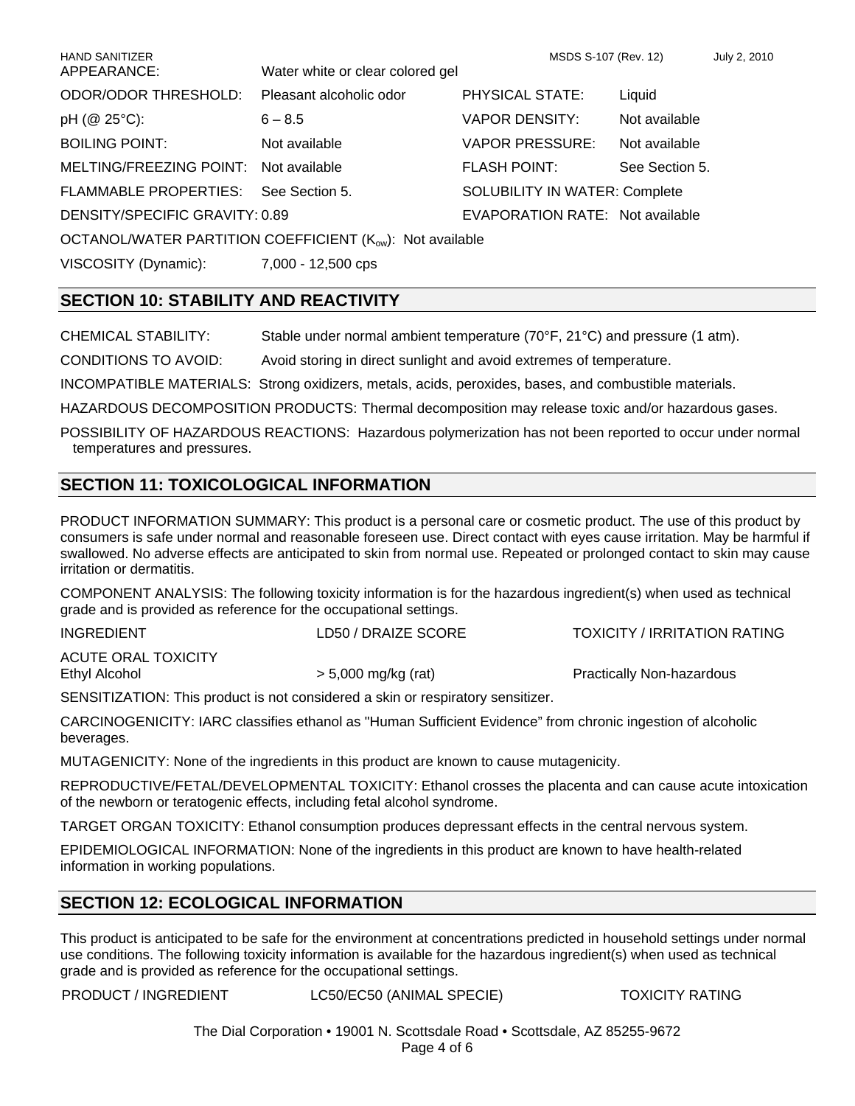| <b>HAND SANITIZER</b>                 |                                                                       | MSDS S-107 (Rev. 12)                 |                | July 2, 2010 |
|---------------------------------------|-----------------------------------------------------------------------|--------------------------------------|----------------|--------------|
| APPEARANCE:                           | Water white or clear colored gel                                      |                                      |                |              |
| ODOR/ODOR THRESHOLD:                  | Pleasant alcoholic odor                                               | PHYSICAL STATE:                      | Liquid         |              |
| pH (@ 25°C):                          | $6 - 8.5$                                                             | <b>VAPOR DENSITY:</b>                | Not available  |              |
| <b>BOILING POINT:</b>                 | Not available                                                         | <b>VAPOR PRESSURE:</b>               | Not available  |              |
| MELTING/FREEZING POINT: Not available |                                                                       | <b>FLASH POINT:</b>                  | See Section 5. |              |
| <b>FLAMMABLE PROPERTIES:</b>          | See Section 5.                                                        | <b>SOLUBILITY IN WATER: Complete</b> |                |              |
| DENSITY/SPECIFIC GRAVITY: 0.89        |                                                                       | EVAPORATION RATE: Not available      |                |              |
|                                       | OCTANOL/WATER PARTITION COEFFICIENT (K <sub>ow</sub> ): Not available |                                      |                |              |
| VISCOSITY (Dynamic):                  | 7,000 - 12,500 cps                                                    |                                      |                |              |

# **SECTION 10: STABILITY AND REACTIVITY**

CHEMICAL STABILITY: Stable under normal ambient temperature (70°F, 21°C) and pressure (1 atm).

CONDITIONS TO AVOID: Avoid storing in direct sunlight and avoid extremes of temperature.

INCOMPATIBLE MATERIALS: Strong oxidizers, metals, acids, peroxides, bases, and combustible materials.

HAZARDOUS DECOMPOSITION PRODUCTS: Thermal decomposition may release toxic and/or hazardous gases.

POSSIBILITY OF HAZARDOUS REACTIONS: Hazardous polymerization has not been reported to occur under normal temperatures and pressures.

# **SECTION 11: TOXICOLOGICAL INFORMATION**

PRODUCT INFORMATION SUMMARY: This product is a personal care or cosmetic product. The use of this product by consumers is safe under normal and reasonable foreseen use. Direct contact with eyes cause irritation. May be harmful if swallowed. No adverse effects are anticipated to skin from normal use. Repeated or prolonged contact to skin may cause irritation or dermatitis.

COMPONENT ANALYSIS: The following toxicity information is for the hazardous ingredient(s) when used as technical grade and is provided as reference for the occupational settings.

| <b>INGREDIENT</b>   | LD50 / DRAIZE SCORE | TOXICITY / IRRITATION RATING     |
|---------------------|---------------------|----------------------------------|
| ACUTE ORAL TOXICITY |                     |                                  |
| Ethyl Alcohol       | > 5,000 mg/kg (rat) | <b>Practically Non-hazardous</b> |

SENSITIZATION: This product is not considered a skin or respiratory sensitizer.

CARCINOGENICITY: IARC classifies ethanol as "Human Sufficient Evidence" from chronic ingestion of alcoholic beverages.

MUTAGENICITY: None of the ingredients in this product are known to cause mutagenicity.

REPRODUCTIVE/FETAL/DEVELOPMENTAL TOXICITY: Ethanol crosses the placenta and can cause acute intoxication of the newborn or teratogenic effects, including fetal alcohol syndrome.

TARGET ORGAN TOXICITY: Ethanol consumption produces depressant effects in the central nervous system.

EPIDEMIOLOGICAL INFORMATION: None of the ingredients in this product are known to have health-related information in working populations.

# **SECTION 12: ECOLOGICAL INFORMATION**

This product is anticipated to be safe for the environment at concentrations predicted in household settings under normal use conditions. The following toxicity information is available for the hazardous ingredient(s) when used as technical grade and is provided as reference for the occupational settings.

PRODUCT / INGREDIENT LC50/EC50 (ANIMAL SPECIE) TOXICITY RATING

The Dial Corporation • 19001 N. Scottsdale Road • Scottsdale, AZ 85255-9672 Page 4 of 6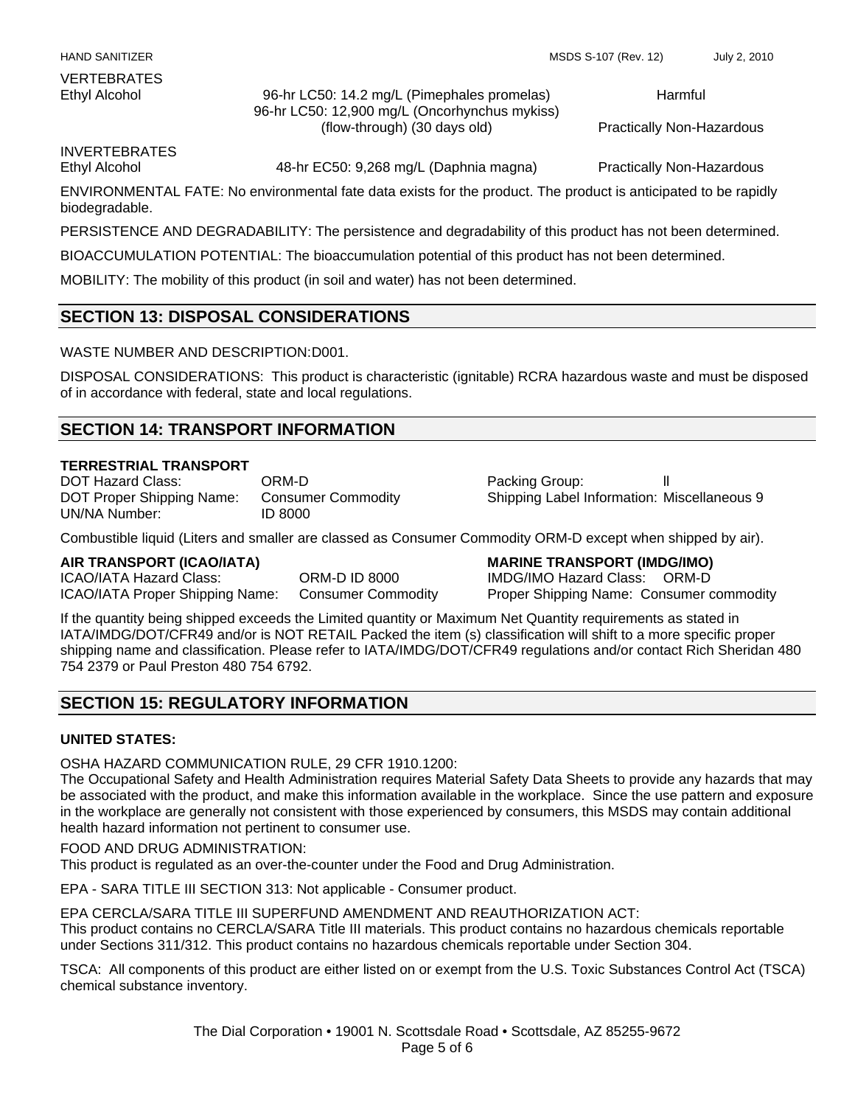Ethyl Alcohol 96-hr LC50: 14.2 mg/L (Pimephales promelas) 96-hr LC50: 12,900 mg/L (Oncorhynchus mykiss) (flow-through) (30 days old)

Harmful

Practically Non-Hazardous

INVERTEBRATES

Ethyl Alcohol 48-hr EC50: 9,268 mg/L (Daphnia magna) Practically Non-Hazardous

ENVIRONMENTAL FATE: No environmental fate data exists for the product. The product is anticipated to be rapidly biodegradable.

PERSISTENCE AND DEGRADABILITY: The persistence and degradability of this product has not been determined.

BIOACCUMULATION POTENTIAL: The bioaccumulation potential of this product has not been determined.

MOBILITY: The mobility of this product (in soil and water) has not been determined.

# **SECTION 13: DISPOSAL CONSIDERATIONS**

WASTE NUMBER AND DESCRIPTION: D001.

DISPOSAL CONSIDERATIONS: This product is characteristic (ignitable) RCRA hazardous waste and must be disposed of in accordance with federal, state and local regulations.

# **SECTION 14: TRANSPORT INFORMATION**

#### **TERRESTRIAL TRANSPORT**

DOT Hazard Class: CRM-D Packing Group: ll DOT Proper Shipping Name: Consumer Commodity Shipping Label Information: Miscellaneous 9 UN/NA Number: ID 8000

Combustible liquid (Liters and smaller are classed as Consumer Commodity ORM-D except when shipped by air).

ICAO/IATA Hazard Class: ORM-D ID 8000 IMDG/IMO Hazard Class: ORM-D ICAO/IATA Proper Shipping Name: Consumer Commodity Proper Shipping Name: Consumer commodity

**AIR TRANSPORT (ICAO/IATA) MARINE TRANSPORT (IMDG/IMO)**

If the quantity being shipped exceeds the Limited quantity or Maximum Net Quantity requirements as stated in IATA/IMDG/DOT/CFR49 and/or is NOT RETAIL Packed the item (s) classification will shift to a more specific proper shipping name and classification. Please refer to IATA/IMDG/DOT/CFR49 regulations and/or contact Rich Sheridan 480 754 2379 or Paul Preston 480 754 6792.

# **SECTION 15: REGULATORY INFORMATION**

### **UNITED STATES:**

OSHA HAZARD COMMUNICATION RULE, 29 CFR 1910.1200:

The Occupational Safety and Health Administration requires Material Safety Data Sheets to provide any hazards that may be associated with the product, and make this information available in the workplace. Since the use pattern and exposure in the workplace are generally not consistent with those experienced by consumers, this MSDS may contain additional health hazard information not pertinent to consumer use.

#### FOOD AND DRUG ADMINISTRATION:

This product is regulated as an over-the-counter under the Food and Drug Administration.

EPA - SARA TITLE III SECTION 313: Not applicable - Consumer product.

EPA CERCLA/SARA TITLE III SUPERFUND AMENDMENT AND REAUTHORIZATION ACT: This product contains no CERCLA/SARA Title III materials. This product contains no hazardous chemicals reportable under Sections 311/312. This product contains no hazardous chemicals reportable under Section 304.

TSCA: All components of this product are either listed on or exempt from the U.S. Toxic Substances Control Act (TSCA) chemical substance inventory.